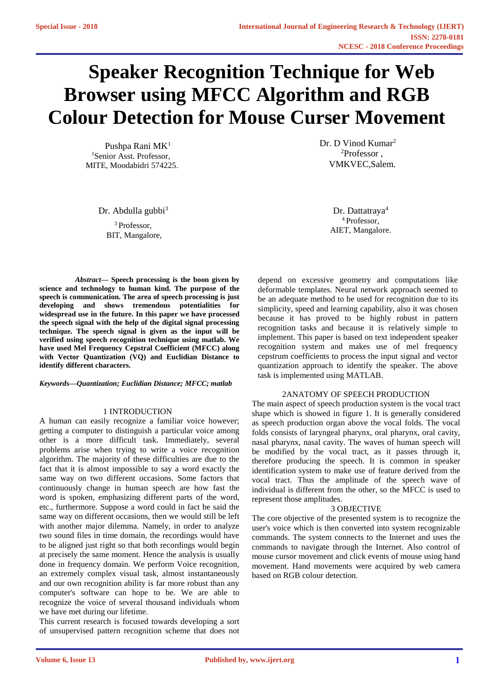# **Speaker Recognition Technique for Web Browser using MFCC Algorithm and RGB Colour Detection for Mouse Curser Movement**

Pushpa Rani MK<sup>1</sup> <sup>1</sup>Senior Asst. Professor. MITE, Moodabidri 574225.

Dr. Abdulla gubbi<sup>3</sup> Dr. Dattatraya<sup>4</sup>

<sup>3</sup> Professor. BIT, Mangalore, Dr. D Vinod Kumar<sup>2</sup> <sup>2</sup>Professor , VMKVEC,Salem.

> <sup>4</sup>Professor, AIET, Mangalore.

*Abstract***— Speech processing is the boon given by science and technology to human kind. The purpose of the speech is communication. The area of speech processing is just developing and shows tremendous potentialities for widespread use in the future. In this paper we have processed the speech signal with the help of the digital signal processing technique. The speech signal is given as the input will be verified using speech recognition technique using matlab. We have used Mel Frequency Cepstral Coefficient (MFCC) along with Vector Quantization (VQ) and Euclidian Distance to identify different characters.**

#### *Keywords—Quantization; Euclidian Distance; MFCC; matlab*

## 1 INTRODUCTION

A human can easily recognize a familiar voice however; getting a computer to distinguish a particular voice among other is a more difficult task. Immediately, several problems arise when trying to write a voice recognition algorithm. The majority of these difficulties are due to the fact that it is almost impossible to say a word exactly the same way on two different occasions. Some factors that continuously change in human speech are how fast the word is spoken, emphasizing different parts of the word, etc., furthermore. Suppose a word could in fact be said the same way on different occasions, then we would still be left with another major dilemma. Namely, in order to analyze two sound files in time domain, the recordings would have to be aligned just right so that both recordings would begin at precisely the same moment. Hence the analysis is usually done in frequency domain. We perform Voice recognition, an extremely complex visual task, almost instantaneously and our own recognition ability is far more robust than any computer's software can hope to be. We are able to recognize the voice of several thousand individuals whom we have met during our lifetime.

This current research is focused towards developing a sort of unsupervised pattern recognition scheme that does not depend on excessive geometry and computations like deformable templates. Neural network approach seemed to be an adequate method to be used for recognition due to its simplicity, speed and learning capability, also it was chosen because it has proved to be highly robust in pattern recognition tasks and because it is relatively simple to implement. This paper is based on text independent speaker recognition system and makes use of mel frequency cepstrum coefficients to process the input signal and vector quantization approach to identify the speaker. The above task is implemented using MATLAB.

### 2ANATOMY OF SPEECH PRODUCTION

The main aspect of speech production system is the vocal tract shape which is showed in figure 1. It is generally considered as speech production organ above the vocal folds. The vocal folds consists of laryngeal pharynx, oral pharynx, oral cavity, nasal pharynx, nasal cavity. The waves of human speech will be modified by the vocal tract, as it passes through it, therefore producing the speech. It is common in speaker identification system to make use of feature derived from the vocal tract. Thus the amplitude of the speech wave of individual is different from the other, so the MFCC is used to represent those amplitudes.

#### 3 OBJECTIVE

The core objective of the presented system is to recognize the user's voice which is then converted into system recognizable commands. The system connects to the Internet and uses the commands to navigate through the Internet. Also control of mouse cursor movement and click events of mouse using hand movement. Hand movements were acquired by web camera based on RGB colour detection.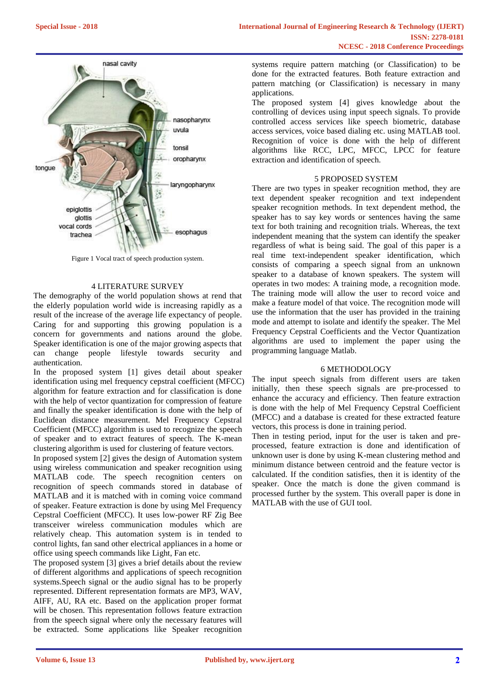

Figure 1 Vocal tract of speech production system.

# 4 LITERATURE SURVEY

The demography of the world population shows at rend that the elderly population world wide is increasing rapidly as a result of the increase of the average life expectancy of people. Caring for and supporting this growing population is a concern for governments and nations around the globe. Speaker identification is one of the major growing aspects that can change people lifestyle towards security and authentication.

In the proposed system [1] gives detail about speaker identification using mel frequency cepstral coefficient (MFCC) algorithm for feature extraction and for classification is done with the help of vector quantization for compression of feature and finally the speaker identification is done with the help of Euclidean distance measurement. Mel Frequency Cepstral Coefficient (MFCC) algorithm is used to recognize the speech of speaker and to extract features of speech. The K-mean clustering algorithm is used for clustering of feature vectors.

In proposed system [2] gives the design of Automation system using wireless communication and speaker recognition using MATLAB code. The speech recognition centers on recognition of speech commands stored in database of MATLAB and it is matched with in coming voice command of speaker. Feature extraction is done by using Mel Frequency Cepstral Coefficient (MFCC). It uses low-power RF Zig Bee transceiver wireless communication modules which are relatively cheap. This automation system is in tended to control lights, fan sand other electrical appliances in a home or office using speech commands like Light, Fan etc.

The proposed system [3] gives a brief details about the review of different algorithms and applications of speech recognition systems.Speech signal or the audio signal has to be properly represented. Different representation formats are MP3, WAV, AIFF, AU, RA etc. Based on the application proper format will be chosen. This representation follows feature extraction from the speech signal where only the necessary features will be extracted. Some applications like Speaker recognition systems require pattern matching (or Classification) to be done for the extracted features. Both feature extraction and pattern matching (or Classification) is necessary in many applications.

The proposed system [4] gives knowledge about the controlling of devices using input speech signals. To provide controlled access services like speech biometric, database access services, voice based dialing etc. using MATLAB tool. Recognition of voice is done with the help of different algorithms like RCC, LPC, MFCC, LPCC for feature extraction and identification of speech.

#### 5 PROPOSED SYSTEM

There are two types in speaker recognition method, they are text dependent speaker recognition and text independent speaker recognition methods. In text dependent method, the speaker has to say key words or sentences having the same text for both training and recognition trials. Whereas, the text independent meaning that the system can identify the speaker regardless of what is being said. The goal of this paper is a real time text-independent speaker identification, which consists of comparing a speech signal from an unknown speaker to a database of known speakers. The system will operates in two modes: A training mode, a recognition mode. The training mode will allow the user to record voice and make a feature model of that voice. The recognition mode will use the information that the user has provided in the training mode and attempt to isolate and identify the speaker. The Mel Frequency Cepstral Coefficients and the Vector Quantization algorithms are used to implement the paper using the programming language Matlab.

### 6 METHODOLOGY

The input speech signals from different users are taken initially, then these speech signals are pre-processed to enhance the accuracy and efficiency. Then feature extraction is done with the help of Mel Frequency Cepstral Coefficient (MFCC) and a database is created for these extracted feature vectors, this process is done in training period.

Then in testing period, input for the user is taken and preprocessed, feature extraction is done and identification of unknown user is done by using K-mean clustering method and minimum distance between centroid and the feature vector is calculated. If the condition satisfies, then it is identity of the speaker. Once the match is done the given command is processed further by the system. This overall paper is done in MATLAB with the use of GUI tool.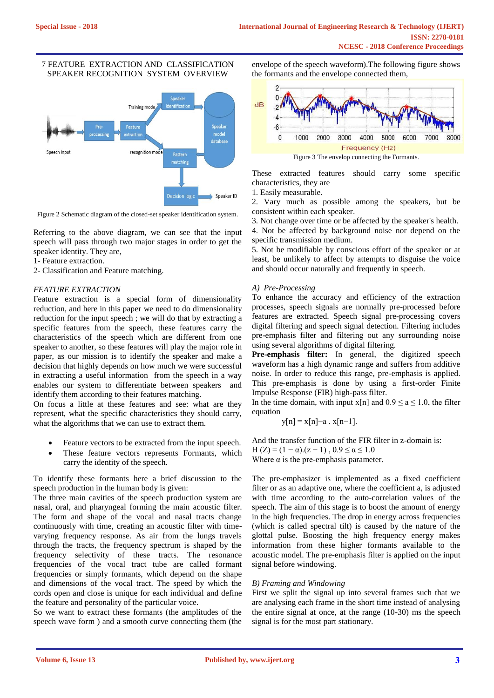# 7 FEATURE EXTRACTION AND CLASSIFICATION SPEAKER RECOGNITION SYSTEM OVERVIEW



Figure 2 Schematic diagram of the closed-set speaker identification system.

Referring to the above diagram, we can see that the input speech will pass through two major stages in order to get the speaker identity. They are,

1- Feature extraction.

2- Classification and Feature matching.

# *FEATURE EXTRACTION*

Feature extraction is a special form of dimensionality reduction, and here in this paper we need to do dimensionality reduction for the input speech ; we will do that by extracting a specific features from the speech, these features carry the characteristics of the speech which are different from one speaker to another, so these features will play the major role in paper, as our mission is to identify the speaker and make a decision that highly depends on how much we were successful in extracting a useful information from the speech in a way enables our system to differentiate between speakers and identify them according to their features matching.

On focus a little at these features and see: what are they represent, what the specific characteristics they should carry, what the algorithms that we can use to extract them.

- Feature vectors to be extracted from the input speech.
- These feature vectors represents Formants, which carry the identity of the speech.

To identify these formants here a brief discussion to the speech production in the human body is given:

The three main cavities of the speech production system are nasal, oral, and pharyngeal forming the main acoustic filter. The form and shape of the vocal and nasal tracts change continuously with time, creating an acoustic filter with timevarying frequency response. As air from the lungs travels through the tracts, the frequency spectrum is shaped by the frequency selectivity of these tracts. The resonance frequencies of the vocal tract tube are called formant frequencies or simply formants, which depend on the shape and dimensions of the vocal tract. The speed by which the cords open and close is unique for each individual and define the feature and personality of the particular voice.

So we want to extract these formants (the amplitudes of the speech wave form ) and a smooth curve connecting them (the envelope of the speech waveform).The following figure shows the formants and the envelope connected them,



These extracted features should carry some specific characteristics, they are

1. Easily measurable.

2. Vary much as possible among the speakers, but be consistent within each speaker.

3. Not change over time or be affected by the speaker's health. 4. Not be affected by background noise nor depend on the specific transmission medium.

5. Not be modifiable by conscious effort of the speaker or at least, be unlikely to affect by attempts to disguise the voice and should occur naturally and frequently in speech.

## *A) Pre-Processing*

To enhance the accuracy and efficiency of the extraction processes, speech signals are normally pre-processed before features are extracted. Speech signal pre-processing covers digital filtering and speech signal detection. Filtering includes pre-emphasis filter and filtering out any surrounding noise using several algorithms of digital filtering.

**Pre-emphasis filter:** In general, the digitized speech waveform has a high dynamic range and suffers from additive noise. In order to reduce this range, pre-emphasis is applied. This pre-emphasis is done by using a first-order Finite Impulse Response (FIR) high-pass filter.

In the time domain, with input  $x[n]$  and  $0.9 \le a \le 1.0$ , the filter equation

$$
y[n] = x[n] - a \cdot x[n-1].
$$

And the transfer function of the FIR filter in z-domain is:

H (Z) = (1 − α).(z − 1),  $0.9 \le \alpha \le 1.0$ 

Where  $\alpha$  is the pre-emphasis parameter.

The pre-emphasizer is implemented as a fixed coefficient filter or as an adaptive one, where the coefficient a, is adjusted with time according to the auto-correlation values of the speech. The aim of this stage is to boost the amount of energy in the high frequencies. The drop in energy across frequencies (which is called spectral tilt) is caused by the nature of the glottal pulse. Boosting the high frequency energy makes information from these higher formants available to the acoustic model. The pre-emphasis filter is applied on the input signal before windowing.

## *B) Framing and Windowing*

First we split the signal up into several frames such that we are analysing each frame in the short time instead of analysing the entire signal at once, at the range (10-30) ms the speech signal is for the most part stationary.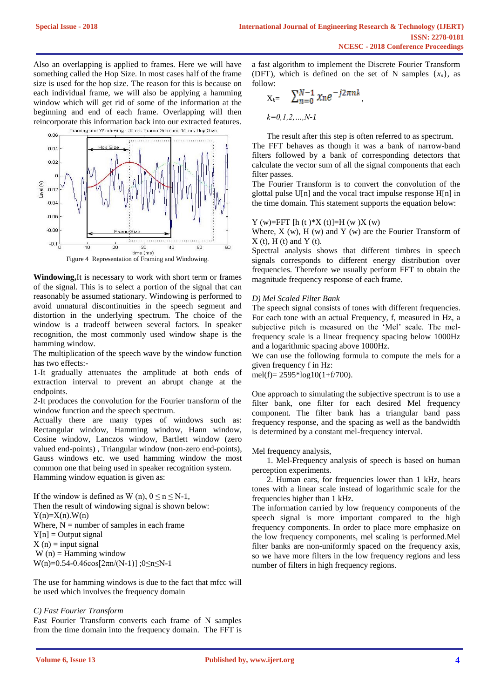Also an overlapping is applied to frames. Here we will have something called the Hop Size. In most cases half of the frame size is used for the hop size. The reason for this is because on each individual frame, we will also be applying a hamming window which will get rid of some of the information at the beginning and end of each frame. Overlapping will then reincorporate this information back into our extracted features.



**Windowing,**It is necessary to work with short term or frames of the signal. This is to select a portion of the signal that can reasonably be assumed stationary. Windowing is performed to avoid unnatural discontinuities in the speech segment and distortion in the underlying spectrum. The choice of the window is a tradeoff between several factors. In speaker recognition, the most commonly used window shape is the hamming window.

The multiplication of the speech wave by the window function has two effects:-

1-It gradually attenuates the amplitude at both ends of extraction interval to prevent an abrupt change at the endpoints.

2-It produces the convolution for the Fourier transform of the window function and the speech spectrum.

Actually there are many types of windows such as: Rectangular window, Hamming window, Hann window, Cosine window, Lanczos window, Bartlett window (zero valued end-points) , Triangular window (non-zero end-points), Gauss windows etc. we used hamming window the most common one that being used in speaker recognition system. Hamming window equation is given as:

If the window is defined as W (n),  $0 \le n \le N-1$ , Then the result of windowing signal is shown below:  $Y(n)=X(n)$ .W(n) Where,  $N =$  number of samples in each frame  $Y[n] =$  Output signal  $X(n) = input signal$  $W(n) =$  Hamming window  $W(n)=0.54-0.46cos[2πn/(N-1)]$ ; 0≤n≤N-1

The use for hamming windows is due to the fact that mfcc will be used which involves the frequency domain

# *C) Fast Fourier Transform*

Fast Fourier Transform converts each frame of N samples from the time domain into the frequency domain. The FFT is

a fast algorithm to implement the Discrete Fourier Transform (DFT), which is defined on the set of N samples  $\{x_n\}$ , as follow:

$$
X_k = \sum_{n=0}^{N-1} x_n e^{-j2\pi nk},
$$
  

$$
k=0,1,2,...,N-1
$$

The result after this step is often referred to as spectrum. The FFT behaves as though it was a bank of narrow-band filters followed by a bank of corresponding detectors that calculate the vector sum of all the signal components that each filter passes.

The Fourier Transform is to convert the convolution of the glottal pulse U[n] and the vocal tract impulse response H[n] in the time domain. This statement supports the equation below:

## Y (w)=FFT [h (t )\*X (t)]=H (w )X (w)

Where,  $X$  (w),  $H$  (w) and  $Y$  (w) are the Fourier Transform of  $X(t)$ ,  $H(t)$  and  $Y(t)$ .

Spectral analysis shows that different timbres in speech signals corresponds to different energy distribution over frequencies. Therefore we usually perform FFT to obtain the magnitude frequency response of each frame.

#### *D) Mel Scaled Filter Bank*

The speech signal consists of tones with different frequencies. For each tone with an actual Frequency, f, measured in Hz, a subjective pitch is measured on the 'Mel' scale. The melfrequency scale is a linear frequency spacing below 1000Hz and a logarithmic spacing above 1000Hz.

We can use the following formula to compute the mels for a given frequency f in Hz:

mel(f)=  $2595*log10(1+f/700)$ .

One approach to simulating the subjective spectrum is to use a filter bank, one filter for each desired Mel frequency component. The filter bank has a triangular band pass frequency response, and the spacing as well as the bandwidth is determined by a constant mel-frequency interval.

#### Mel frequency analysis,

1. Mel-Frequency analysis of speech is based on human perception experiments.

2. Human ears, for frequencies lower than 1 kHz, hears tones with a linear scale instead of logarithmic scale for the frequencies higher than 1 kHz.

The information carried by low frequency components of the speech signal is more important compared to the high frequency components. In order to place more emphasize on the low frequency components, mel scaling is performed.Mel filter banks are non-uniformly spaced on the frequency axis, so we have more filters in the low frequency regions and less number of filters in high frequency regions.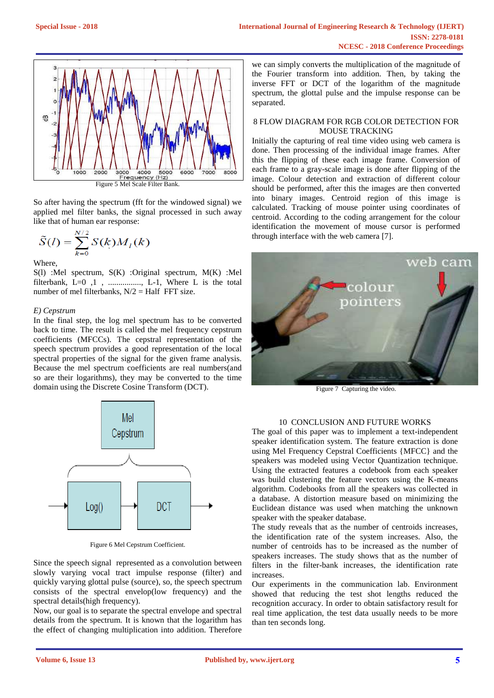

So after having the spectrum (fft for the windowed signal) we applied mel filter banks, the signal processed in such away like that of human ear response:

$$
\tilde{S}(l) = \sum_{k=0}^{N/2} S(k) M_l(k)
$$

Where,

S(l) :Mel spectrum, S(K) :Original spectrum, M(K) :Mel filterbank,  $L=0$ , 1, ...............,  $L=1$ , Where L is the total number of mel filterbanks,  $N/2 = \text{Half FFT size.}$ 

# *E) Cepstrum*

In the final step, the log mel spectrum has to be converted back to time. The result is called the mel frequency cepstrum coefficients (MFCCs). The cepstral representation of the speech spectrum provides a good representation of the local spectral properties of the signal for the given frame analysis. Because the mel spectrum coefficients are real numbers(and so are their logarithms), they may be converted to the time domain using the Discrete Cosine Transform (DCT).



Figure 6 Mel Cepstrum Coefficient.

Since the speech signal represented as a convolution between slowly varying vocal tract impulse response (filter) and quickly varying glottal pulse (source), so, the speech spectrum consists of the spectral envelop(low frequency) and the spectral details(high frequency).

Now, our goal is to separate the spectral envelope and spectral details from the spectrum. It is known that the logarithm has the effect of changing multiplication into addition. Therefore we can simply converts the multiplication of the magnitude of the Fourier transform into addition. Then, by taking the inverse FFT or DCT of the logarithm of the magnitude spectrum, the glottal pulse and the impulse response can be separated.

# 8 FLOW DIAGRAM FOR RGB COLOR DETECTION FOR MOUSE TRACKING

Initially the capturing of real time video using web camera is done. Then processing of the individual image frames. After this the flipping of these each image frame. Conversion of each frame to a gray-scale image is done after flipping of the image. Colour detection and extraction of different colour should be performed, after this the images are then converted into binary images. Centroid region of this image is calculated. Tracking of mouse pointer using coordinates of centroid. According to the coding arrangement for the colour identification the movement of mouse cursor is performed through interface with the web camera [7].



Figure 7 Capturing the video.

# 10 CONCLUSION AND FUTURE WORKS

The goal of this paper was to implement a text-independent speaker identification system. The feature extraction is done using Mel Frequency Cepstral Coefficients {MFCC} and the speakers was modeled using Vector Quantization technique. Using the extracted features a codebook from each speaker was build clustering the feature vectors using the K-means algorithm. Codebooks from all the speakers was collected in a database. A distortion measure based on minimizing the Euclidean distance was used when matching the unknown speaker with the speaker database.

The study reveals that as the number of centroids increases, the identification rate of the system increases. Also, the number of centroids has to be increased as the number of speakers increases. The study shows that as the number of filters in the filter-bank increases, the identification rate increases.

Our experiments in the communication lab. Environment showed that reducing the test shot lengths reduced the recognition accuracy. In order to obtain satisfactory result for real time application, the test data usually needs to be more than ten seconds long.